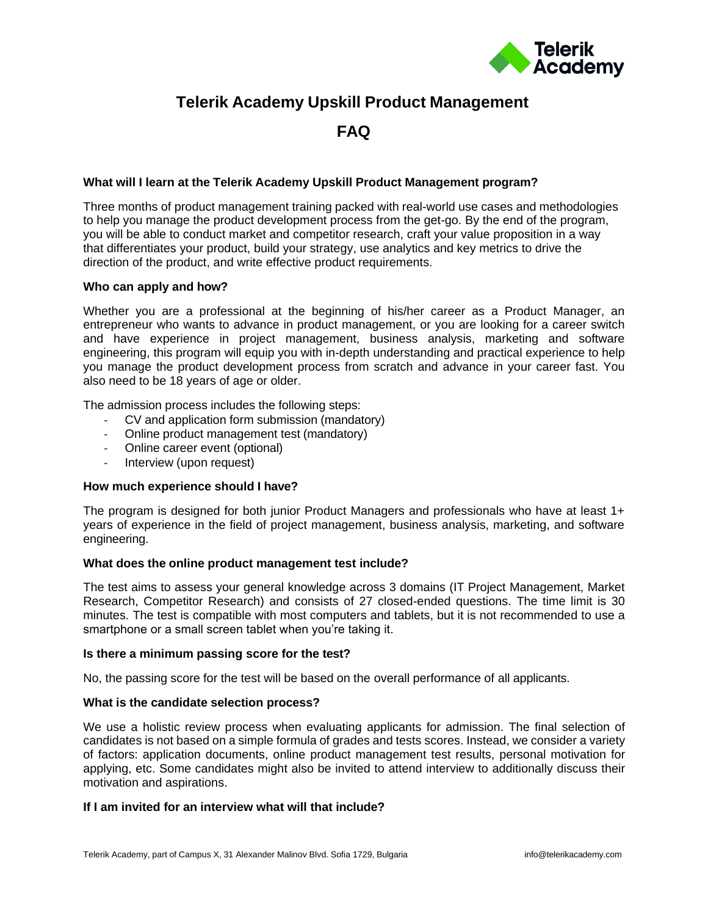

# **Telerik Academy Upskill Product Management**

**FAQ**

## **What will I learn at the Telerik Academy Upskill Product Management program?**

Three months of product management training packed with real-world use cases and methodologies to help you manage the product development process from the get-go. By the end of the program, you will be able to conduct market and competitor research, craft your value proposition in a way that differentiates your product, build your strategy, use analytics and key metrics to drive the direction of the product, and write effective product requirements.

#### **Who can apply and how?**

Whether you are a professional at the beginning of his/her career as a Product Manager, an entrepreneur who wants to advance in product management, or you are looking for a career switch and have experience in project management, business analysis, marketing and software engineering, this program will equip you with in-depth understanding and practical experience to help you manage the product development process from scratch and advance in your career fast. You also need to be 18 years of age or older.

The admission process includes the following steps:

- CV and application form submission (mandatory)
- Online product management test (mandatory)
- Online career event (optional)
- Interview (upon request)

#### **How much experience should I have?**

The program is designed for both junior Product Managers and professionals who have at least 1+ years of experience in the field of project management, business analysis, marketing, and software engineering.

#### **What does the online product management test include?**

The test aims to assess your general knowledge across 3 domains (IT Project Management, Market Research, Competitor Research) and consists of 27 closed-ended questions. The time limit is 30 minutes. The test is compatible with most computers and tablets, but it is not recommended to use a smartphone or a small screen tablet when you're taking it.

#### **Is there a minimum passing score for the test?**

No, the passing score for the test will be based on the overall performance of all applicants.

#### **What is the candidate selection process?**

We use a holistic review process when evaluating applicants for admission. The final selection of candidates is not based on a simple formula of grades and tests scores. Instead, we consider a variety of factors: application documents, online product management test results, personal motivation for applying, etc. Some candidates might also be invited to attend interview to additionally discuss their motivation and aspirations.

#### **If I am invited for an interview what will that include?**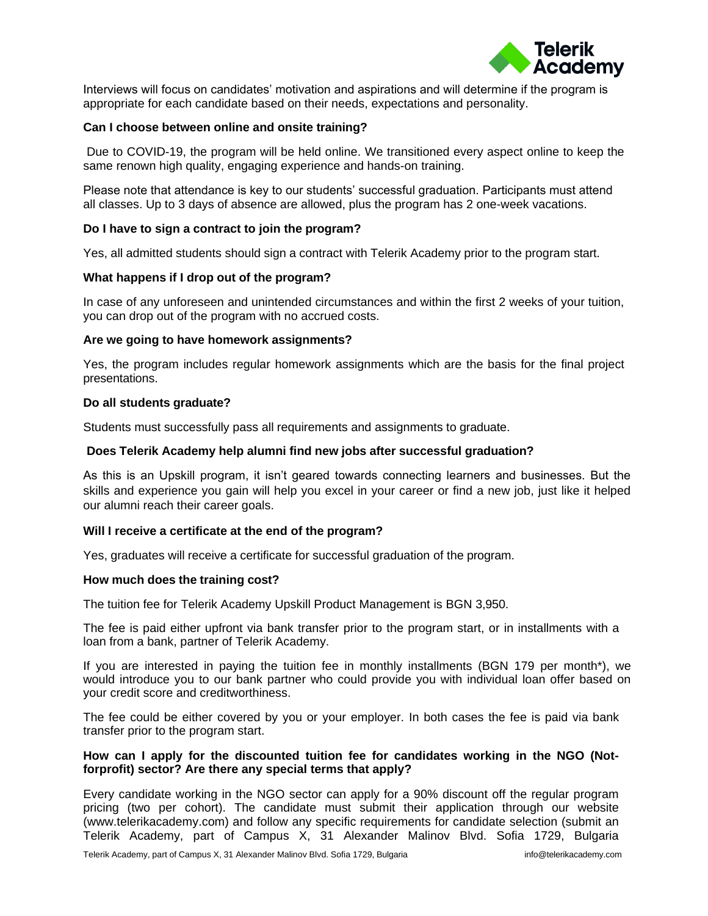

Interviews will focus on candidates' motivation and aspirations and will determine if the program is appropriate for each candidate based on their needs, expectations and personality.

## **Can I choose between online and onsite training?**

Due to COVID-19, the program will be held online. We transitioned every aspect online to keep the same renown high quality, engaging experience and hands-on training.

Please note that attendance is key to our students' successful graduation. Participants must attend all classes. Up to 3 days of absence are allowed, plus the program has 2 one-week vacations.

#### **Do I have to sign a contract to join the program?**

Yes, all admitted students should sign a contract with Telerik Academy prior to the program start.

## **What happens if I drop out of the program?**

In case of any unforeseen and unintended circumstances and within the first 2 weeks of your tuition, you can drop out of the program with no accrued costs.

#### **Are we going to have homework assignments?**

Yes, the program includes regular homework assignments which are the basis for the final project presentations.

#### **Do all students graduate?**

Students must successfully pass all requirements and assignments to graduate.

#### **Does Telerik Academy help alumni find new jobs after successful graduation?**

As this is an Upskill program, it isn't geared towards connecting learners and businesses. But the skills and experience you gain will help you excel in your career or find a new job, just like it helped our alumni reach their career goals.

#### **Will I receive a certificate at the end of the program?**

Yes, graduates will receive a certificate for successful graduation of the program.

#### **How much does the training cost?**

The tuition fee for Telerik Academy Upskill Product Management is BGN 3,950.

The fee is paid either upfront via bank transfer prior to the program start, or in installments with a loan from a bank, partner of Telerik Academy.

If you are interested in paying the tuition fee in monthly installments (BGN 179 per month\*), we would introduce you to our bank partner who could provide you with individual loan offer based on your credit score and creditworthiness.

The fee could be either covered by you or your employer. In both cases the fee is paid via bank transfer prior to the program start.

## **How can I apply for the discounted tuition fee for candidates working in the NGO (Notforprofit) sector? Are there any special terms that apply?**

Every candidate working in the NGO sector can apply for a 90% discount off the regular program pricing (two per cohort). The candidate must submit their application through our website (www.telerikacademy.com) and follow any specific requirements for candidate selection (submit an Telerik Academy, part of Campus X, 31 Alexander Malinov Blvd. Sofia 1729, Bulgaria